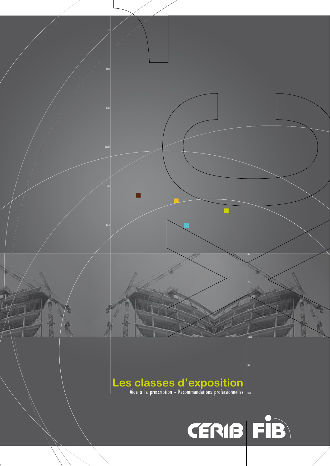# $\left\vert \text{Les classes of 'exposition} \right\rangle$  Aide à la prescription - Recommandations professionnelles  $\left\vert \text{...} \right\rangle$

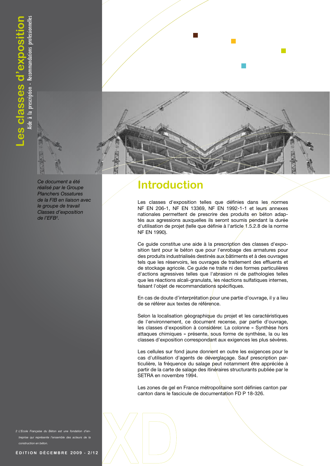

Ce document a été réalisé par le Groupe **Planchers Ossatures** de la FIB en liaison avec le groupe de travail Classes d'exposition de l'EFB<sup>2</sup>.

#### **Introduction**

Les classes d'exposition telles que définies dans les normes NF EN 206-1, NF EN 13369, NF EN 1992-1-1 et leurs annexes nationales permettent de prescrire des produits en béton adaptés aux agressions auxquelles ils seront soumis pendant la durée d'utilisation de projet (telle que définie à l'article 1.5.2.8 de la norme NF EN 1990).

Ce guide constitue une aide à la prescription des classes d'exposition tant pour le béton que pour l'enrobage des armatures pour des produits industrialisés destinés aux bâtiments et à des ouvrages tels que les réservoirs, les ouvrages de traitement des effluents et de stockage agricole. Ce guide ne traite ni des formes particulières d'actions agressives telles que l'abrasion ni de pathologies telles que les réactions alcali-granulats, les réactions sulfatiques internes, faisant l'objet de recommandations spécifiques.

En cas de doute d'interprétation pour une partie d'ouvrage, il y a lieu de se référer aux textes de référence.

Selon la localisation géographique du projet et les caractéristiques de l'environnement, ce document recense, par partie d'ouvrage, les classes d'exposition à considérer. La colonne « Synthèse hors attaques chimiques » présente, sous forme de synthèse, la ou les classes d'exposition correspondant aux exigences les plus sévères.

Les cellules sur fond jaune donnent en outre les exigences pour le cas d'utilisation d'agents de déverglaçage. Sauf prescription particulière, la fréquence du salage peut notamment être appréciée à partir de la carte de salage des itinéraires structurants publiée par le SETRA en novembre 1994.

Les zones de gel en France métropolitaine sont définies canton par canton dans le fascicule de documentation FD P 18-326.

2 L'Ecole Française du Béton est une fondation d'entreprise qui représente l'ensemble des acteurs de la construction en béton.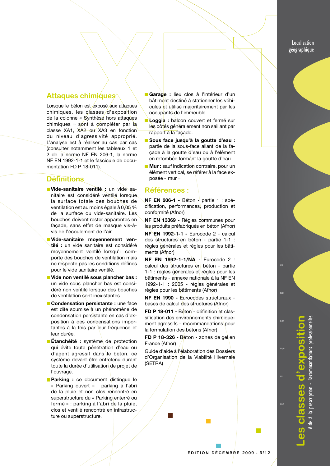Localisation géographique

#### **Attaques chimiques**

Lorsque le béton est exposé aux attaques chimiques, les classes d'exposition de la colonne « Synthèse hors attaques chimiques » sont à compléter par la classe XA1, XA2 ou XA3 en fonction du niveau d'agressivité approprié. L'analyse est à réaliser au cas par cas Consulter notamment les tableaux 1 et 2 de la norme NF EN 206-1, la norme NF EN 1992-1-1 et le fascicule de documentation FD P 18-011).

#### **Définitions**

- Vide-sanitaire ventilé : un vide sanitaire est considéré ventilé lorsque la surface totale des bouches de ventilation est au moins égale à 0.05 % de la surface du vide-sanitaire. Les bouches doivent rester apparentes en façade, sans effet de masque vis-àvis de l'écoulement de l'air.
- Vide-sanitaire moyennement ventilé : un vide sanitaire est considéré moyennement ventilé lorsqu'il comporte des bouches de ventilation mais ne respecte pas les conditions défines pour le vide sanitaire ventilé.
- Vide non ventilé sous plancher bas : un vide sous plancher bas est considéré non ventilé lorsque des bouches de ventilation sont inexistantes.
- Condensation persistante : une face est dite soumise à un phénomène de condensation persistante en cas d'exposition à des condensations importantes à la fois par leur fréquence et leur durée.
- **Etanchéité :** système de protection qui évite toute pénétration d'eau ou d'agent agressif dans le béton, ce système devant être entretenu durant toute la durée d'utilisation de projet de l'ouvrage.
- **Parking :** ce document distingue le « Parking ouvert » : parking à l'abri de la pluie et non clos rencontré en superstructure du « Parking enterré ou fermé » : parking à l'abri de la pluie, clos et ventilé rencontré en infrastructure ou superstructure.
- Garage : lieu clos à l'intérieur d'un bâtiment destiné à stationner les véhicules et utilisé majoritairement par les occupants de l'immeuble.
- Loggia : balcon couvert et fermé sur les côtés généralement non saillant par rapport à la façade.
- Sous face jusqu'à la goutte d'eau : partie de la sous-face allant de la façade à la goutte d'eau ou à l'élément en retombée formant la goutte d'eau.
- Mur: sauf indication contraire, pour un élément vertical, se référer à la face exposée « mur »

#### **Références :**

NF EN 206-1 - Béton - partie 1 : spécification, performances, production et conformité (Afnor)

NF EN 13369 - Règles communes pour les produits préfabriqués en béton (Afnor)

NF EN 1992-1-1 - Eurocode 2 - calcul des structures en béton - partie 1-1 : règles générales et règles pour les bâtiments (Afnor)

NF EN 1992-1-1/NA - Eurocode 2 : calcul des structures en béton - partie 1-1 : règles générales et règles pour les bâtiments - annexe nationale à la NF EN 1992-1-1 : 2005 - règles générales et règles pour les bâtiments (Afnor)

NF EN 1990 - Eurocodes structuraux bases de calcul des structures (Afnor)

FD P 18-011 - Béton - définition et classification des environnements chimiquement agressifs - recommandations pour la formulation des bétons (Afnor)

FD P 18-326 - Béton - zones de gel en France (Afnor)

Guide d'aide à l'élaboration des Dossiers d'Organisation de la Viabilité Hivernale (SETRA)

110,89

 $\mathbb{R}^n$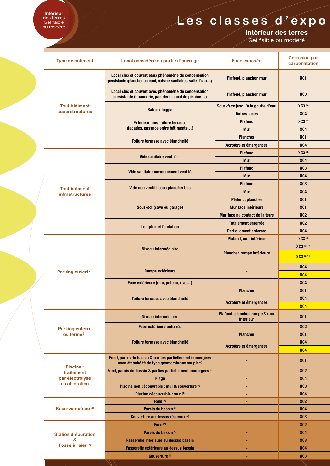### Les classes d'expo

Intérieur des terres

Gel faible ou modéré

|  | Type de bâtiment                                                  | Local considéré ou partie d'ouvrage                                                                                      | <b>Face exposée</b>                         | <b>Corrosion par</b><br>carbonatation                                                                                                                                                          |  |
|--|-------------------------------------------------------------------|--------------------------------------------------------------------------------------------------------------------------|---------------------------------------------|------------------------------------------------------------------------------------------------------------------------------------------------------------------------------------------------|--|
|  |                                                                   | Local clos et couvert sans phénomène de condensation<br>persistante (plancher courant, cuisine, sanitaires, salle d'eau) | Plafond, plancher, mur                      | XC <sub>1</sub>                                                                                                                                                                                |  |
|  |                                                                   | Local clos et couvert avec phénomène de condensation<br>persistante (buanderie, papeterie, local de piscine)             | Plafond, plancher, mur                      | XC <sub>3</sub>                                                                                                                                                                                |  |
|  | <b>Tout bâtiment</b>                                              | <b>Balcon, loggia</b>                                                                                                    | Sous-face jusqu'à la goutte d'eau           | XC3(5)                                                                                                                                                                                         |  |
|  | superstructures                                                   |                                                                                                                          | <b>Autres faces</b>                         | XC4                                                                                                                                                                                            |  |
|  |                                                                   | <b>Extérieur hors toiture terrasse</b>                                                                                   | <b>Plafond</b>                              | XC3(5)                                                                                                                                                                                         |  |
|  |                                                                   | (façades, passage entre bâtiments)                                                                                       | <b>Mur</b>                                  | XC4                                                                                                                                                                                            |  |
|  |                                                                   | Toiture terrasse avec étanchéité                                                                                         | <b>Plancher</b>                             | XC <sub>1</sub>                                                                                                                                                                                |  |
|  |                                                                   |                                                                                                                          | Acrotère et émergences                      | XC4                                                                                                                                                                                            |  |
|  |                                                                   | Vide sanitaire ventilé (3)                                                                                               | <b>Plafond</b>                              | <b>XC3(8)</b>                                                                                                                                                                                  |  |
|  |                                                                   |                                                                                                                          | <b>Mur</b>                                  | XC4                                                                                                                                                                                            |  |
|  |                                                                   |                                                                                                                          | <b>Plafond</b>                              | XC <sub>3</sub>                                                                                                                                                                                |  |
|  |                                                                   | Vide sanitaire moyennement ventilé                                                                                       | <b>Mur</b>                                  | XC4                                                                                                                                                                                            |  |
|  |                                                                   |                                                                                                                          | <b>Plafond</b>                              | XC <sub>3</sub>                                                                                                                                                                                |  |
|  | <b>Tout bâtiment</b><br><b>infrastructures</b>                    | Vide non ventilé sous plancher bas                                                                                       | <b>Mur</b>                                  | XC4                                                                                                                                                                                            |  |
|  |                                                                   |                                                                                                                          | <b>Plafond, plancher</b>                    | XC <sub>1</sub>                                                                                                                                                                                |  |
|  |                                                                   | Sous-sol (cave ou garage)                                                                                                | Mur face intérieure<br>XC <sub>1</sub>      |                                                                                                                                                                                                |  |
|  |                                                                   |                                                                                                                          | Mur face au contact de la terre             | XC <sub>2</sub>                                                                                                                                                                                |  |
|  |                                                                   |                                                                                                                          | <b>Totalement enterrée</b>                  | XC <sub>2</sub>                                                                                                                                                                                |  |
|  |                                                                   | <b>Longrine et fondation</b>                                                                                             | Partiellement enterrée                      | XC4                                                                                                                                                                                            |  |
|  |                                                                   |                                                                                                                          | Plafond, mur intérieur                      | <b>XC3(8)</b>                                                                                                                                                                                  |  |
|  |                                                                   | Niveau intermédiaire                                                                                                     |                                             | XC3 (8)(10)                                                                                                                                                                                    |  |
|  | Parking ouvert <sup>(1)</sup>                                     |                                                                                                                          | Plancher, rampe intérieure                  | XC3 (8)(10)                                                                                                                                                                                    |  |
|  |                                                                   | Rampe extérieure                                                                                                         |                                             | XC4                                                                                                                                                                                            |  |
|  |                                                                   |                                                                                                                          |                                             | XC4                                                                                                                                                                                            |  |
|  |                                                                   | Face extérieure (mur, poteau, rive)                                                                                      | ٠                                           | XC4                                                                                                                                                                                            |  |
|  |                                                                   |                                                                                                                          | <b>Plancher</b>                             | XC <sub>1</sub>                                                                                                                                                                                |  |
|  |                                                                   | Toiture terrasse avec étanchéité                                                                                         | Acrotère et émergences                      | XC4                                                                                                                                                                                            |  |
|  |                                                                   |                                                                                                                          |                                             | XC4                                                                                                                                                                                            |  |
|  | Parking enterré                                                   | Niveau intermédiaire                                                                                                     | Plafond, plancher, rampe & mur<br>intérieur | XC <sub>1</sub>                                                                                                                                                                                |  |
|  |                                                                   | Face extérieure enterrée                                                                                                 | ٠                                           | XC <sub>2</sub>                                                                                                                                                                                |  |
|  | ou fermé <sup>(1)</sup>                                           |                                                                                                                          | <b>Plancher</b>                             | XC <sub>1</sub>                                                                                                                                                                                |  |
|  |                                                                   | Toiture terrasse avec étanchéité                                                                                         | Acrotère et émergences                      | XC4                                                                                                                                                                                            |  |
|  |                                                                   |                                                                                                                          |                                             | XC4<br>XC <sub>1</sub><br>XC <sub>2</sub><br>XC4<br>XC <sub>3</sub><br>XC4<br>XC <sub>2</sub><br>XC4<br>XC <sub>3</sub><br>XC <sub>2</sub><br>XC4<br>XC <sub>3</sub><br>XC4<br>XC <sub>3</sub> |  |
|  | <b>Piscine:</b><br>traitement<br>par électrolyse<br>ou chloration | Fond, parois du bassin & parties partiellement immergées<br>avec étanchéité de type géomembrane souple (4)               |                                             |                                                                                                                                                                                                |  |
|  |                                                                   | Fond, parois du bassin & parties partiellement immergées <sup>(4)</sup>                                                  | ۰                                           |                                                                                                                                                                                                |  |
|  |                                                                   | <b>Plage</b>                                                                                                             | ٠                                           |                                                                                                                                                                                                |  |
|  |                                                                   | Piscine non découvrable : mur & couverture <sup>(4)</sup>                                                                | ٠                                           |                                                                                                                                                                                                |  |
|  | Réservoir d'eau <sup>(2)</sup>                                    | Piscine découvrable : mur (4)                                                                                            | ٠                                           |                                                                                                                                                                                                |  |
|  |                                                                   | Fond <sup>(4)</sup>                                                                                                      |                                             |                                                                                                                                                                                                |  |
|  |                                                                   | Parois du bassin <sup>(4)</sup>                                                                                          |                                             |                                                                                                                                                                                                |  |
|  |                                                                   | Couverture au dessus réservoir <sup>(4)</sup>                                                                            |                                             |                                                                                                                                                                                                |  |
|  |                                                                   | Fond <sup>(4)</sup>                                                                                                      |                                             |                                                                                                                                                                                                |  |
|  | <b>Station d'épuration</b>                                        | Parois du bassin <sup>(4)</sup>                                                                                          |                                             |                                                                                                                                                                                                |  |
|  | &<br>Fosse à lisier <sup>(2)</sup>                                | Passerelle intérieure au dessus bassin                                                                                   | ٠                                           |                                                                                                                                                                                                |  |
|  |                                                                   | Passerelle extérieure au dessus bassin                                                                                   |                                             |                                                                                                                                                                                                |  |
|  |                                                                   | Couverture <sup>(4)</sup>                                                                                                | ٠                                           |                                                                                                                                                                                                |  |

**Intérieur<br>des terres**<br>Gel faible<br>ou modéré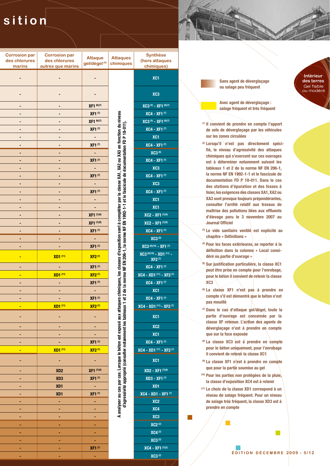### sition

| <b>Corrosion par</b><br>des chlorures<br>marins | <b>Corrosion par</b><br>des chlorures<br>autres que marins | <b>Attaque</b><br>gel/dégel <sup>(6)</sup> | <b>Attaques</b><br>chimiques                                                                                                                                                                                                                                                                      | <b>Synthèse</b><br>(hors attaques<br>chimiques)                      |
|-------------------------------------------------|------------------------------------------------------------|--------------------------------------------|---------------------------------------------------------------------------------------------------------------------------------------------------------------------------------------------------------------------------------------------------------------------------------------------------|----------------------------------------------------------------------|
|                                                 |                                                            |                                            |                                                                                                                                                                                                                                                                                                   | XC1                                                                  |
|                                                 |                                                            |                                            |                                                                                                                                                                                                                                                                                                   | XC3                                                                  |
|                                                 |                                                            | <b>XF1 (6)(7)</b>                          |                                                                                                                                                                                                                                                                                                   | $\overline{XC3}$ <sup>(5)</sup> - $\overline{XF1}$ <sup>(6)(7)</sup> |
|                                                 |                                                            | <b>XF1(7)</b>                              |                                                                                                                                                                                                                                                                                                   | XC4 - XF1 (7)                                                        |
|                                                 |                                                            | <b>XF1 (6)(7)</b>                          |                                                                                                                                                                                                                                                                                                   | $\overline{XC3}$ <sup>(5)</sup> - $\overline{XF1}$ <sup>(6)(7)</sup> |
|                                                 |                                                            | <b>XF1(7)</b>                              |                                                                                                                                                                                                                                                                                                   | XC4 - XF1 (7)                                                        |
|                                                 |                                                            |                                            | et le fascicule de documentation FD P 18-011)                                                                                                                                                                                                                                                     | XC <sub>1</sub>                                                      |
|                                                 |                                                            | <b>XF1(7)</b>                              |                                                                                                                                                                                                                                                                                                   | XC4 - XF1 (7)                                                        |
|                                                 |                                                            |                                            |                                                                                                                                                                                                                                                                                                   | <b>XC3(8)</b>                                                        |
|                                                 |                                                            | <b>XF1(7)</b>                              |                                                                                                                                                                                                                                                                                                   | XC4 - XF1 (7)                                                        |
|                                                 |                                                            |                                            |                                                                                                                                                                                                                                                                                                   | XC3                                                                  |
|                                                 |                                                            | <b>XF1(7)</b>                              |                                                                                                                                                                                                                                                                                                   | XC4 - XF1(7)                                                         |
|                                                 |                                                            |                                            |                                                                                                                                                                                                                                                                                                   | XC3                                                                  |
|                                                 |                                                            | <b>XF1(7)</b>                              |                                                                                                                                                                                                                                                                                                   | XC4 - XF1 (7)                                                        |
|                                                 |                                                            |                                            |                                                                                                                                                                                                                                                                                                   | XC1                                                                  |
|                                                 |                                                            |                                            |                                                                                                                                                                                                                                                                                                   | XC1                                                                  |
|                                                 |                                                            | XF1 (7)(9)                                 |                                                                                                                                                                                                                                                                                                   | $XC2 - XF1$ <sup>(7)(9)</sup>                                        |
|                                                 |                                                            | XF1 (7)(9)                                 |                                                                                                                                                                                                                                                                                                   | $XC2 - XF1$ <sup>(7)(9)</sup>                                        |
|                                                 |                                                            | <b>XF1(7)</b>                              |                                                                                                                                                                                                                                                                                                   | $XC4 - XF1^{(7)}$                                                    |
|                                                 |                                                            |                                            |                                                                                                                                                                                                                                                                                                   | <b>XC3(8)</b>                                                        |
|                                                 |                                                            | <b>XF1(7)</b>                              |                                                                                                                                                                                                                                                                                                   | XC3 (8)(10) - XF1 (7)                                                |
|                                                 | <b>XD1</b> (11)                                            | <b>XF2(7)</b>                              | A analyser au cas par cas. Lorsque le béton est exposé aux attaques chimiques, les classes d'exposition sont à compléter par la classe XA1, XA2 ou XA3 en fonction du niveau<br>d'agressivité approprié (consulter notamment les tableaux 1 et 2 de la norme NF EN 206-1, la norme NF EN 1992-1-1 | $XC3^{(8)(10)} - XD1^{(11)} -$<br>$XF2^{(7)}$                        |
|                                                 |                                                            | <b>XF1(7)</b>                              |                                                                                                                                                                                                                                                                                                   | XC4 - XF1(7)                                                         |
|                                                 | <b>XD1 (11)</b>                                            | <b>XF2(7)</b>                              |                                                                                                                                                                                                                                                                                                   | XC4 - XD1 (11) - XF2 (7)                                             |
| ٠                                               | ۰                                                          | <b>XF1(7)</b>                              |                                                                                                                                                                                                                                                                                                   | XC4 - XF1 (7)                                                        |
|                                                 |                                                            | ٠                                          |                                                                                                                                                                                                                                                                                                   | XC <sub>1</sub>                                                      |
|                                                 |                                                            | <b>XF1(7)</b>                              |                                                                                                                                                                                                                                                                                                   | XC4 - XF1(7)                                                         |
|                                                 | <b>XD1</b> (11)                                            | <b>XF2(7)</b>                              |                                                                                                                                                                                                                                                                                                   | XC4 - XD1 (11) - XF2 (7)                                             |
|                                                 |                                                            |                                            |                                                                                                                                                                                                                                                                                                   | XC <sub>1</sub>                                                      |
|                                                 |                                                            |                                            |                                                                                                                                                                                                                                                                                                   | XC <sub>2</sub>                                                      |
|                                                 |                                                            |                                            |                                                                                                                                                                                                                                                                                                   | XC1                                                                  |
|                                                 |                                                            | <b>XF1(7)</b>                              |                                                                                                                                                                                                                                                                                                   | XC4 - XF1 (7)                                                        |
|                                                 | <b>XD1 (11)</b>                                            | <b>XF2(7)</b>                              |                                                                                                                                                                                                                                                                                                   | XC4 - XD1 (11) - XF2 (7)                                             |
|                                                 |                                                            |                                            |                                                                                                                                                                                                                                                                                                   | XC <sub>1</sub>                                                      |
|                                                 | XD <sub>2</sub>                                            | XF1 (7)(9)                                 |                                                                                                                                                                                                                                                                                                   | XD2 - XF1 (7)(9)                                                     |
|                                                 | XD <sub>3</sub>                                            | <b>XF1(7)</b>                              |                                                                                                                                                                                                                                                                                                   | XD3 - XF1(7)                                                         |
|                                                 | XD <sub>1</sub>                                            |                                            |                                                                                                                                                                                                                                                                                                   | XD1                                                                  |
|                                                 | XD <sub>1</sub>                                            | <b>XF1(7)</b>                              |                                                                                                                                                                                                                                                                                                   | XC4 - XD1 - XF1 (7)                                                  |
|                                                 |                                                            |                                            |                                                                                                                                                                                                                                                                                                   | XC <sub>2</sub>                                                      |
|                                                 |                                                            |                                            |                                                                                                                                                                                                                                                                                                   | XC4                                                                  |
|                                                 |                                                            |                                            |                                                                                                                                                                                                                                                                                                   | XC3                                                                  |
|                                                 |                                                            |                                            |                                                                                                                                                                                                                                                                                                   | <b>XC2(2)</b>                                                        |
|                                                 |                                                            |                                            |                                                                                                                                                                                                                                                                                                   | <b>XC4(2)</b>                                                        |
|                                                 |                                                            |                                            |                                                                                                                                                                                                                                                                                                   | <b>XC3(2)</b>                                                        |
|                                                 |                                                            | <b>XF1(7)</b>                              |                                                                                                                                                                                                                                                                                                   | XC4 - XF1 (7)(2)                                                     |
| ٠                                               | ۳                                                          | ٠                                          |                                                                                                                                                                                                                                                                                                   | <b>XC3(2)</b>                                                        |

<sup>(10)</sup> Pour les parties non protégées de la pluie, la classe d'exposition XC4 est à retenir <sup>(11)</sup> Le choix de la classe XD1 correspond à un

niveau de salage fréquent. Pour un niveau de salage très fréquent, la classe XD3 est à prendre en compte

Avec agent de déverglaçage : salage fréquent et très fréquent **Intérieur** 

des terres Gel faible

ou modéré

<sup>(1)</sup> Il convient de prendre en compte l'apport de sels de déverglaçage par les véhicules sur les zones circulées

Sans agent de déverglaçage

ou salage peu fréquent

M

- <sup>(2)</sup> Lorsqu'il \n'est pas directement spécifié, le niveau d'agressivité des attaques chimiques qui s'exercent sur ces ouvrages est à déterminer notamment suivant les tableaux 1 et 2 de la norme NF EN 206-1, la norme NF EN 1992-1-1 et le fascicule de documentation  $FD \ P 18-011$ . Dans le cas des stations d'épuration et des fosses à lisier, les exigences des classes XA1, XA2 ou XA3 sont presque toujours prépondérantes, consulter l'arrêté relatif aux travaux de maîtrise des pollutions liées aux effluents d'élevage paru le 3 novembre 2007 au **Journal Officiel**
- (3) Le vide sanitaire ventilé est explicité au chapitre « Définitions »
- <sup>(4)</sup> Pour les faces extérieures, se reporter à la définition dans la colonne « Local considéré où partie d'ouvrage »
- (5) Sur justification particulière, la classe XC1 peut être prise en compte pour l'enrobage, pour le béton il convient de retenir la classe XC<sub>3</sub>
- <sup>(6)</sup> La classe XF1 n'est pas à prendre en compte s'il est démontré que le béton n'est pas mouillé
- <sup>(7)</sup> Dans le cas d'attaque gel/dégel, toute la partie d'ouvrage est concernée par la classe XF retenue. L'action des agents de déverglaçage n'est à prendre en compte que sur la face exposée
- (8) La classe XC3 est à prendre en compte pour le béton uniquement, pour l'enrobage il convient de retenir la classe XC1
- <sup>(9)</sup> La classe XF1 n'est à prendre en compte que pour la partie soumise au gel

 $\mathbb{R}^n$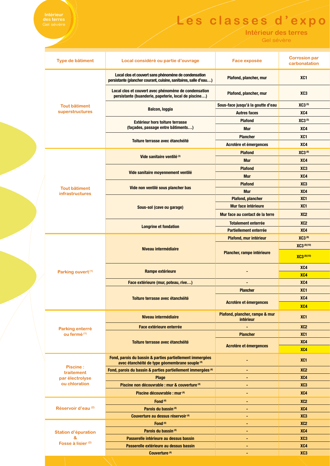## **Intérieur<br>des terres**<br>Gel sévère

### Les classes d'expo

Intérieur des terres

Gel sévère

|  | Type de bâtiment                                                  | Local considéré ou partie d'ouvrage                                                                                      | <b>Face exposée</b>                         | <b>Corrosion par</b><br>carbonatation |
|--|-------------------------------------------------------------------|--------------------------------------------------------------------------------------------------------------------------|---------------------------------------------|---------------------------------------|
|  |                                                                   | Local clos et couvert sans phénomène de condensation<br>persistante (plancher courant, cuisine, sanitaires, salle d'eau) | Plafond, plancher, mur                      | XC <sub>1</sub>                       |
|  |                                                                   | Local clos et couvert avec phénomène de condensation<br>persistante (buanderie, papeterie, local de piscine)             | Plafond, plancher, mur                      | XC <sub>3</sub>                       |
|  | <b>Tout bâtiment</b>                                              | <b>Balcon, loggia</b>                                                                                                    | Sous-face jusqu'à la goutte d'eau           | XC3 <sup>(5)</sup>                    |
|  | superstructures                                                   |                                                                                                                          | <b>Autres faces</b>                         | XC4                                   |
|  |                                                                   | Extérieur hors toiture terrasse<br>(façades, passage entre bâtiments)<br>Toiture terrasse avec étanchéité                | <b>Plafond</b>                              | XC3(5)                                |
|  |                                                                   |                                                                                                                          | <b>Mur</b>                                  | XC4                                   |
|  |                                                                   |                                                                                                                          | <b>Plancher</b>                             | XC <sub>1</sub>                       |
|  |                                                                   |                                                                                                                          | Acrotère et émergences                      | XC4                                   |
|  |                                                                   |                                                                                                                          | <b>XC3(8)</b><br><b>Plafond</b>             |                                       |
|  |                                                                   | Vide sanitaire ventilé <sup>(3)</sup>                                                                                    | <b>Mur</b>                                  | XC4                                   |
|  |                                                                   |                                                                                                                          | <b>Plafond</b>                              | XC <sub>3</sub>                       |
|  |                                                                   | Vide sanitaire moyennement ventilé                                                                                       | <b>Mur</b>                                  | XC4                                   |
|  |                                                                   |                                                                                                                          | <b>Plafond</b>                              | XC <sub>3</sub>                       |
|  | <b>Tout bâtiment</b><br><b>infrastructures</b>                    | Vide non ventilé sous plancher bas                                                                                       | <b>Mur</b>                                  | XC4                                   |
|  |                                                                   |                                                                                                                          | <b>Plafond, plancher</b>                    | XC <sub>1</sub>                       |
|  |                                                                   | Sous-sol (cave ou garage)                                                                                                | Mur face intérieure                         | XC <sub>1</sub>                       |
|  |                                                                   |                                                                                                                          | Mur face au contact de la terre             | XC <sub>2</sub>                       |
|  |                                                                   |                                                                                                                          | <b>Totalement enterrée</b>                  | XC <sub>2</sub>                       |
|  |                                                                   | <b>Longrine et fondation</b>                                                                                             | <b>Partiellement enterrée</b>               | XC4                                   |
|  |                                                                   |                                                                                                                          | Plafond, mur intérieur                      | <b>XC3(8)</b>                         |
|  |                                                                   | Niveau intermédiaire                                                                                                     |                                             | <b>XC3</b> (8)(10)                    |
|  |                                                                   |                                                                                                                          | Plancher, rampe intérieure                  | XC3 (8)(10)                           |
|  | Parking ouvert <sup>(1)</sup>                                     | Rampe extérieure<br>Face extérieure (mur, poteau, rive)<br>-<br><b>Plancher</b><br>Toiture terrasse avec étanchéité      |                                             | XC4                                   |
|  |                                                                   |                                                                                                                          |                                             | XC4                                   |
|  |                                                                   |                                                                                                                          |                                             | XC4                                   |
|  |                                                                   |                                                                                                                          |                                             | XC <sub>1</sub>                       |
|  |                                                                   |                                                                                                                          | Acrotère et émergences                      | XC4                                   |
|  |                                                                   |                                                                                                                          |                                             | X <sub>C4</sub>                       |
|  | Parking enterré<br>ou fermé <sup>(1)</sup>                        | Niveau intermédiaire                                                                                                     | Plafond, plancher, rampe & mur<br>intérieur | XC <sub>1</sub>                       |
|  |                                                                   | Face extérieure enterrée                                                                                                 |                                             | XC <sub>2</sub>                       |
|  |                                                                   |                                                                                                                          | <b>Plancher</b>                             | XC <sub>1</sub>                       |
|  |                                                                   | Toiture terrasse avec étanchéité                                                                                         | Acrotère et émergences                      | XC4                                   |
|  |                                                                   |                                                                                                                          |                                             | XC4                                   |
|  | <b>Piscine:</b><br>traitement<br>par électrolyse<br>ou chloration | Fond, parois du bassin & parties partiellement immergées<br>avec étanchéité de type géomembrane souple (4)               |                                             | XC <sub>1</sub>                       |
|  |                                                                   | Fond, parois du bassin & parties partiellement immergées <sup>(4)</sup>                                                  | ۰                                           | XC <sub>2</sub>                       |
|  |                                                                   | <b>Plage</b>                                                                                                             |                                             | XC4                                   |
|  |                                                                   | Piscine non découvrable : mur & couverture (4)                                                                           |                                             | XC <sub>3</sub>                       |
|  |                                                                   | Piscine découvrable : mur (4)                                                                                            |                                             | XC4                                   |
|  | Réservoir d'eau <sup>(2)</sup>                                    | Fond <sup>(4)</sup>                                                                                                      |                                             | XC <sub>2</sub>                       |
|  |                                                                   | Parois du bassin <sup>(4)</sup>                                                                                          |                                             | XC4                                   |
|  |                                                                   | Couverture au dessus réservoir (4)                                                                                       | ۰                                           | XC <sub>3</sub>                       |
|  |                                                                   | Fond <sup>(4)</sup>                                                                                                      | ۰                                           | XC <sub>2</sub>                       |
|  | <b>Station d'épuration</b><br>&                                   | Parois du bassin <sup>(4)</sup><br>Passerelle intérieure au dessus bassin                                                | ۰                                           | XC4                                   |
|  | Fosse à lisier (2)                                                | Passerelle extérieure au dessus bassin                                                                                   | ۰                                           | XC <sub>3</sub><br>XC4                |
|  |                                                                   | Couverture <sup>(4)</sup>                                                                                                | ۰                                           | XC <sub>3</sub>                       |
|  |                                                                   |                                                                                                                          |                                             |                                       |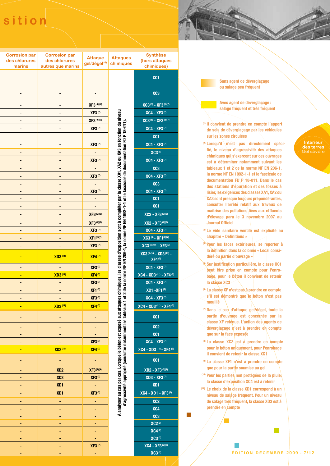### sition

| <b>Corrosion par</b><br>des chlorures<br>marins | <b>Corrosion par</b><br>des chlorures<br>autres que marins | <b>Attaque</b><br>gel/dégel <sup>(6)</sup> | <b>Attaques</b><br>chimiques                                                                                                                                                                                        |
|-------------------------------------------------|------------------------------------------------------------|--------------------------------------------|---------------------------------------------------------------------------------------------------------------------------------------------------------------------------------------------------------------------|
|                                                 |                                                            |                                            |                                                                                                                                                                                                                     |
|                                                 |                                                            |                                            |                                                                                                                                                                                                                     |
|                                                 | ۰                                                          | XF3 (6)(7)                                 |                                                                                                                                                                                                                     |
|                                                 |                                                            | <b>XF3(7)</b>                              |                                                                                                                                                                                                                     |
|                                                 |                                                            | <b>XF3 (6)(7)</b>                          |                                                                                                                                                                                                                     |
|                                                 |                                                            | <b>XF3(7)</b>                              |                                                                                                                                                                                                                     |
|                                                 |                                                            |                                            | on sont à compléter par la classe XA1, XA2 ou XA3 en fonction du niveau<br>me NF EN 1992-1-1 et le fascicule de documentation FD P 18-011)                                                                          |
|                                                 |                                                            | <b>XF3(7)</b>                              |                                                                                                                                                                                                                     |
|                                                 |                                                            |                                            |                                                                                                                                                                                                                     |
|                                                 |                                                            | <b>XF3(7)</b>                              |                                                                                                                                                                                                                     |
|                                                 |                                                            |                                            |                                                                                                                                                                                                                     |
|                                                 |                                                            | <b>XF3(7)</b>                              |                                                                                                                                                                                                                     |
|                                                 |                                                            |                                            |                                                                                                                                                                                                                     |
|                                                 |                                                            | <b>XF3(7)</b>                              |                                                                                                                                                                                                                     |
|                                                 |                                                            |                                            |                                                                                                                                                                                                                     |
|                                                 |                                                            |                                            |                                                                                                                                                                                                                     |
|                                                 |                                                            | XF3 (7)(9)                                 |                                                                                                                                                                                                                     |
|                                                 |                                                            | XF3 (7)(9)                                 |                                                                                                                                                                                                                     |
|                                                 |                                                            | <b>XF3(7)</b>                              |                                                                                                                                                                                                                     |
|                                                 |                                                            | <b>XF1(6)(7)</b>                           |                                                                                                                                                                                                                     |
|                                                 |                                                            | <b>XF3(7)</b>                              |                                                                                                                                                                                                                     |
|                                                 | <b>XD3(11)</b>                                             | XF4(7)                                     | d'agressivité approprié (consulter notamment les tableaux 1 et 2 de la norme NF EN 206-1, la nor<br>A analyser au cas par cas. Lorsque le béton est exposé aux attaques chimiques, les classes d'exposition de la c |
|                                                 |                                                            | <b>XF3(7)</b>                              |                                                                                                                                                                                                                     |
|                                                 | XD3 <sup>(11)</sup>                                        | <b>XF4(7)</b>                              |                                                                                                                                                                                                                     |
|                                                 |                                                            | <b>XF3(7)</b><br><b>XF1(7)</b>             |                                                                                                                                                                                                                     |
|                                                 |                                                            | <b>XF3(7)</b>                              |                                                                                                                                                                                                                     |
|                                                 | XD3 <sup>(11)</sup>                                        | XF4 <sup>(7)</sup>                         |                                                                                                                                                                                                                     |
|                                                 |                                                            |                                            |                                                                                                                                                                                                                     |
|                                                 |                                                            |                                            |                                                                                                                                                                                                                     |
|                                                 |                                                            |                                            |                                                                                                                                                                                                                     |
|                                                 |                                                            |                                            |                                                                                                                                                                                                                     |
|                                                 |                                                            | <b>XF3(7)</b>                              |                                                                                                                                                                                                                     |
|                                                 | XD3(11)                                                    | $XFA^{(7)}$                                |                                                                                                                                                                                                                     |
|                                                 |                                                            |                                            |                                                                                                                                                                                                                     |
|                                                 | XD <sub>2</sub>                                            | <b>XF3</b> (7)(9)                          |                                                                                                                                                                                                                     |
|                                                 | XD3                                                        | <b>XF3(7)</b>                              |                                                                                                                                                                                                                     |
|                                                 | XD1                                                        |                                            |                                                                                                                                                                                                                     |
|                                                 | XD1                                                        | <b>XF3(7)</b>                              |                                                                                                                                                                                                                     |
|                                                 |                                                            |                                            |                                                                                                                                                                                                                     |
|                                                 |                                                            |                                            |                                                                                                                                                                                                                     |
|                                                 |                                                            |                                            |                                                                                                                                                                                                                     |
|                                                 |                                                            |                                            |                                                                                                                                                                                                                     |
|                                                 |                                                            |                                            |                                                                                                                                                                                                                     |
|                                                 |                                                            | <b>XF3(7)</b>                              |                                                                                                                                                                                                                     |
|                                                 |                                                            |                                            |                                                                                                                                                                                                                     |

|   | <b>Synthèse</b>                                                                       |
|---|---------------------------------------------------------------------------------------|
| j | (hors attaques<br>chimiques)                                                          |
|   | XC1                                                                                   |
|   | XC <sub>3</sub>                                                                       |
|   | $\overline{XC3}$ <sup>(5)</sup> - $\overline{XF3}$ <sup>(6)(7)</sup>                  |
|   | XC4 - XF3(7)                                                                          |
|   | $XC3$ <sup>(5)</sup> - XF3 <sup>(6)(7)</sup>                                          |
|   | XC4 - XF3(7)                                                                          |
|   | XC <sub>1</sub>                                                                       |
|   | XC4 - XF3(7)                                                                          |
|   | <b>XC3(8)</b>                                                                         |
|   | $XC4 - XF3^{(7)}$                                                                     |
|   | XC3                                                                                   |
|   | XC4 - XF3(7)                                                                          |
|   | XC3<br>XC4 - XF3(7)                                                                   |
|   | XC <sub>1</sub>                                                                       |
|   | XC1                                                                                   |
|   | $XC2 - XF3^{(7)(9)}$                                                                  |
|   | $XC2 - XF3^{(7)(9)}$                                                                  |
|   | XC4 - XF3(7)                                                                          |
|   | $XC3^{(8)} - XF1^{(6)(7)}$                                                            |
|   | XC3 (8)(10) - XF3 (7)                                                                 |
|   | XC3 (8)(10) - XD3 (11) -<br>XF4(7)                                                    |
|   | XC4 - XF3(7)                                                                          |
|   | $\overline{XC4}$ - $\overline{XD3}$ <sup>(11)</sup> - $\overline{XF4}$ <sup>(7)</sup> |
|   | $XC4 - XF3$ <sup>(7)</sup>                                                            |
|   | XC1 - XF1 (7)                                                                         |
|   | XC4 - XF3(7)                                                                          |
|   | XC4 - XD3 (11) - XF4 (7)                                                              |
|   | XC <sub>1</sub>                                                                       |
|   | XC <sub>2</sub>                                                                       |
|   | XC <sub>1</sub>                                                                       |
|   | $XC4 - XF3^{(7)}$                                                                     |
|   | XC4 - XD3 (11) - XF4 (7)                                                              |
|   | XC <sub>1</sub>                                                                       |
|   | $XD2 - XF3^{(7)(9)}$                                                                  |
|   | XD3 - XF3(7)                                                                          |
|   | XD <sub>1</sub>                                                                       |
|   | <b>XC4 - XD1 - XF3(7)</b>                                                             |
|   | XC <sub>2</sub>                                                                       |
|   | XC4                                                                                   |
|   | XC <sub>3</sub><br><b>XC2(2)</b>                                                      |
|   | <b>XC4(2)</b>                                                                         |
|   | <b>XC3(2)</b>                                                                         |
|   | $XC4 - XF3 (7)(2)$                                                                    |

**XC3**<sup>(2)</sup>

Sans agent de déverglaçage ou salage peu fréquent

Avec agent de déverglaçage : salage fréquent et très fréquent

- <sup>(1)</sup> Il convient de prendre en compte l'apport de sels de déverglaçage par les véhicules sur les zones circulées
- <sup>(2)</sup> Lorsqu'il \n'est pas directement spécifié, le niveau d'agressivité des attaques chimiques qui s'exercent sur ces ouvrages est à déterminer notamment suivant les tableaux 1 et  $2$  de la norme NF EN 206-1, la norme NF EN 1992-1-1 et le fascicule de documentation FD P 18-011. Dans le cas des stations d'épuration et des fosses à lisier, les exigences des classes XA1, XA2 ou XA3 sont presque toujours prépondérantes, consulter l'arrêté relatif aux travaux de maîtrise des pollutions liées aux effluents d'élevage paru le 3 novembre 2007 au **Journal Officiel**
- (3) Le vide sanitaire ventilé est explicité au chapitre « Définitions »
- <sup>(4)</sup> Pour les faces extérieures, se reporter à la définition dans la colonne « Local considéré où partie d'ouvrage »
- <sup>®</sup> Sur justification particulière, la classe XC1 peut être prise en compte pour l'enrobage, pour le béton il convient de retenir la classe XC3
- <sup>(6)</sup> La classe XF n'est pas à prendre en compte s'il est démontré que le béton n'est pas mouillé
- <sup>(7)</sup> Dans le cas d'attaque gel/dégel, toute la partie d'ouvrage est concernée par la classe XF retenue. L'action des agents de déverglaçage n'est à prendre en compte que sur la face exposée
- <sup>(8)</sup> La classe XC3 est à prendre en compte pour le béton uniquement, pour l'enrobage il convient de retenir la classe XC1
- <sup>(9)</sup> La classe XF1 n'est à prendre en compte que pour la partie soumise au gel
- (10) Pour les parties non protégées de la pluie, la classe d'exposition XC4 est à retenir
- <sup>(11)</sup> Le choix de la classe XD1 correspond à un niveau de salage fréquent. Pour un niveau de salage très fréquent, la classe XD3 est à prendre en compte

#### Intérieur des terres Gel sévère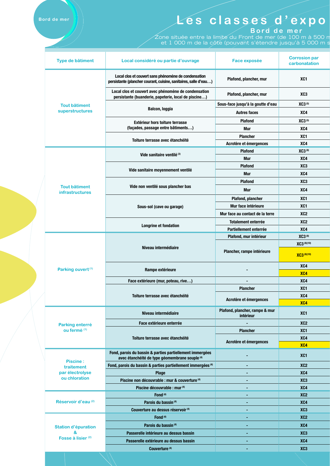| Local clos et couvert sans phénomène de condensation<br>XC <sub>1</sub><br>Plafond, plancher, mur<br>persistante (plancher courant, cuisine, sanitaires, salle d'eau)<br>Local clos et couvert avec phénomène de condensation<br>XC <sub>3</sub><br>Plafond, plancher, mur<br>persistante (buanderie, papeterie, local de piscine)<br>Sous-face jusqu'à la goutte d'eau<br>XC3(5)<br><b>Tout bâtiment</b><br><b>Balcon, loggia</b><br>superstructures<br><b>Autres faces</b><br>XC4<br>XC3(5)<br><b>Plafond</b><br>Extérieur hors toiture terrasse<br>(façades, passage entre bâtiments)<br>XC4<br><b>Mur</b><br><b>Plancher</b><br>XC <sub>1</sub><br>Toiture terrasse avec étanchéité<br>Acrotère et émergences<br>XC4<br>XC3(8)<br><b>Plafond</b><br>Vide sanitaire ventilé <sup>(3)</sup><br>XC4<br><b>Mur</b><br>XC <sub>3</sub><br><b>Plafond</b><br>Vide sanitaire moyennement ventilé<br>XC4<br><b>Mur</b><br>XC <sub>3</sub><br><b>Plafond</b><br>Vide non ventilé sous plancher bas<br><b>Tout bâtiment</b><br>XC4<br><b>Mur</b><br>infrastructures<br>XC <sub>1</sub><br><b>Plafond, plancher</b><br>Mur face intérieure<br>XC <sub>1</sub><br>Sous-sol (cave ou garage)<br>XC <sub>2</sub><br>Mur face au contact de la terre<br><b>Totalement enterrée</b><br>XC <sub>2</sub><br>Longrine et fondation<br>XC4<br>Partiellement enterrée<br><b>XC3(8)</b><br>Plafond, mur intérieur<br>XC3 (8)(10)<br>Niveau intermédiaire<br>Plancher, rampe intérieure<br>XC3 (8)(10)<br>XC4<br>Parking ouvert <sup>(1)</sup><br>Rampe extérieure<br>X <sub>C4</sub><br>Face extérieure (mur, poteau, rive)<br>XC4<br>XC <sub>1</sub><br><b>Plancher</b><br>Toiture terrasse avec étanchéité<br>XC4<br>Acrotère et émergences<br>X <sub>C4</sub><br>Plafond, plancher, rampe & mur<br>Niveau intermédiaire<br>XC <sub>1</sub><br>intérieur<br>Face extérieure enterrée<br>XC <sub>2</sub><br>Parking enterré<br>ou fermé (1)<br>XC <sub>1</sub><br><b>Plancher</b><br>XC4<br>Toiture terrasse avec étanchéité<br>Acrotère et émergences<br>XC4<br>Fond, parois du bassin & parties partiellement immergées<br>XC <sub>1</sub><br>avec étanchéité de type géomembrane souple (4)<br><b>Piscine:</b><br>XC <sub>2</sub><br>Fond, parois du bassin & parties partiellement immergées <sup>(4)</sup><br>۰<br>traitement<br>par électrolyse<br>XC4<br><b>Plage</b><br>ou chloration<br>Piscine non découvrable : mur & couverture <sup>(4)</sup><br>XC3<br>Piscine découvrable : mur (4)<br>XC4<br>XC <sub>2</sub><br>Fond <sup>(4)</sup><br>Réservoir d'eau <sup>(2)</sup><br>Parois du bassin <sup>(4)</sup><br>XC4<br>Couverture au dessus réservoir <sup>(4)</sup><br>XC <sub>3</sub><br>۰<br>Fond <sup>(4)</sup><br>XC <sub>2</sub><br>XC4<br>Parois du bassin <sup>(4)</sup><br><b>Station d'épuration</b><br>&<br>XC <sub>3</sub><br>Passerelle intérieure au dessus bassin<br>Fosse à lisier <sup>(2)</sup><br>XC4<br>Passerelle extérieure au dessus bassin<br>Couverture <sup>(4)</sup><br>XC <sub>3</sub><br>٠ |  | Type de bâtiment | Local considéré ou partie d'ouvrage | <b>Face exposée</b> | <b>Corrosion par</b><br>carbonatation |  |
|--------------------------------------------------------------------------------------------------------------------------------------------------------------------------------------------------------------------------------------------------------------------------------------------------------------------------------------------------------------------------------------------------------------------------------------------------------------------------------------------------------------------------------------------------------------------------------------------------------------------------------------------------------------------------------------------------------------------------------------------------------------------------------------------------------------------------------------------------------------------------------------------------------------------------------------------------------------------------------------------------------------------------------------------------------------------------------------------------------------------------------------------------------------------------------------------------------------------------------------------------------------------------------------------------------------------------------------------------------------------------------------------------------------------------------------------------------------------------------------------------------------------------------------------------------------------------------------------------------------------------------------------------------------------------------------------------------------------------------------------------------------------------------------------------------------------------------------------------------------------------------------------------------------------------------------------------------------------------------------------------------------------------------------------------------------------------------------------------------------------------------------------------------------------------------------------------------------------------------------------------------------------------------------------------------------------------------------------------------------------------------------------------------------------------------------------------------------------------------------------------------------------------------------------------------------------------------------------------------------------------------------------------------------------------------------------------------------------------------------------------------------------------------------------------------------------------------------------------------------------------------------------------------------------------------------------------------------------------------------------------------------------|--|------------------|-------------------------------------|---------------------|---------------------------------------|--|
|                                                                                                                                                                                                                                                                                                                                                                                                                                                                                                                                                                                                                                                                                                                                                                                                                                                                                                                                                                                                                                                                                                                                                                                                                                                                                                                                                                                                                                                                                                                                                                                                                                                                                                                                                                                                                                                                                                                                                                                                                                                                                                                                                                                                                                                                                                                                                                                                                                                                                                                                                                                                                                                                                                                                                                                                                                                                                                                                                                                                                    |  |                  |                                     |                     |                                       |  |
|                                                                                                                                                                                                                                                                                                                                                                                                                                                                                                                                                                                                                                                                                                                                                                                                                                                                                                                                                                                                                                                                                                                                                                                                                                                                                                                                                                                                                                                                                                                                                                                                                                                                                                                                                                                                                                                                                                                                                                                                                                                                                                                                                                                                                                                                                                                                                                                                                                                                                                                                                                                                                                                                                                                                                                                                                                                                                                                                                                                                                    |  |                  |                                     |                     |                                       |  |
|                                                                                                                                                                                                                                                                                                                                                                                                                                                                                                                                                                                                                                                                                                                                                                                                                                                                                                                                                                                                                                                                                                                                                                                                                                                                                                                                                                                                                                                                                                                                                                                                                                                                                                                                                                                                                                                                                                                                                                                                                                                                                                                                                                                                                                                                                                                                                                                                                                                                                                                                                                                                                                                                                                                                                                                                                                                                                                                                                                                                                    |  |                  |                                     |                     |                                       |  |
|                                                                                                                                                                                                                                                                                                                                                                                                                                                                                                                                                                                                                                                                                                                                                                                                                                                                                                                                                                                                                                                                                                                                                                                                                                                                                                                                                                                                                                                                                                                                                                                                                                                                                                                                                                                                                                                                                                                                                                                                                                                                                                                                                                                                                                                                                                                                                                                                                                                                                                                                                                                                                                                                                                                                                                                                                                                                                                                                                                                                                    |  |                  |                                     |                     |                                       |  |
|                                                                                                                                                                                                                                                                                                                                                                                                                                                                                                                                                                                                                                                                                                                                                                                                                                                                                                                                                                                                                                                                                                                                                                                                                                                                                                                                                                                                                                                                                                                                                                                                                                                                                                                                                                                                                                                                                                                                                                                                                                                                                                                                                                                                                                                                                                                                                                                                                                                                                                                                                                                                                                                                                                                                                                                                                                                                                                                                                                                                                    |  |                  |                                     |                     |                                       |  |
|                                                                                                                                                                                                                                                                                                                                                                                                                                                                                                                                                                                                                                                                                                                                                                                                                                                                                                                                                                                                                                                                                                                                                                                                                                                                                                                                                                                                                                                                                                                                                                                                                                                                                                                                                                                                                                                                                                                                                                                                                                                                                                                                                                                                                                                                                                                                                                                                                                                                                                                                                                                                                                                                                                                                                                                                                                                                                                                                                                                                                    |  |                  |                                     |                     |                                       |  |
|                                                                                                                                                                                                                                                                                                                                                                                                                                                                                                                                                                                                                                                                                                                                                                                                                                                                                                                                                                                                                                                                                                                                                                                                                                                                                                                                                                                                                                                                                                                                                                                                                                                                                                                                                                                                                                                                                                                                                                                                                                                                                                                                                                                                                                                                                                                                                                                                                                                                                                                                                                                                                                                                                                                                                                                                                                                                                                                                                                                                                    |  |                  |                                     |                     |                                       |  |
|                                                                                                                                                                                                                                                                                                                                                                                                                                                                                                                                                                                                                                                                                                                                                                                                                                                                                                                                                                                                                                                                                                                                                                                                                                                                                                                                                                                                                                                                                                                                                                                                                                                                                                                                                                                                                                                                                                                                                                                                                                                                                                                                                                                                                                                                                                                                                                                                                                                                                                                                                                                                                                                                                                                                                                                                                                                                                                                                                                                                                    |  |                  |                                     |                     |                                       |  |
|                                                                                                                                                                                                                                                                                                                                                                                                                                                                                                                                                                                                                                                                                                                                                                                                                                                                                                                                                                                                                                                                                                                                                                                                                                                                                                                                                                                                                                                                                                                                                                                                                                                                                                                                                                                                                                                                                                                                                                                                                                                                                                                                                                                                                                                                                                                                                                                                                                                                                                                                                                                                                                                                                                                                                                                                                                                                                                                                                                                                                    |  |                  |                                     |                     |                                       |  |
|                                                                                                                                                                                                                                                                                                                                                                                                                                                                                                                                                                                                                                                                                                                                                                                                                                                                                                                                                                                                                                                                                                                                                                                                                                                                                                                                                                                                                                                                                                                                                                                                                                                                                                                                                                                                                                                                                                                                                                                                                                                                                                                                                                                                                                                                                                                                                                                                                                                                                                                                                                                                                                                                                                                                                                                                                                                                                                                                                                                                                    |  |                  |                                     |                     |                                       |  |
|                                                                                                                                                                                                                                                                                                                                                                                                                                                                                                                                                                                                                                                                                                                                                                                                                                                                                                                                                                                                                                                                                                                                                                                                                                                                                                                                                                                                                                                                                                                                                                                                                                                                                                                                                                                                                                                                                                                                                                                                                                                                                                                                                                                                                                                                                                                                                                                                                                                                                                                                                                                                                                                                                                                                                                                                                                                                                                                                                                                                                    |  |                  |                                     |                     |                                       |  |
|                                                                                                                                                                                                                                                                                                                                                                                                                                                                                                                                                                                                                                                                                                                                                                                                                                                                                                                                                                                                                                                                                                                                                                                                                                                                                                                                                                                                                                                                                                                                                                                                                                                                                                                                                                                                                                                                                                                                                                                                                                                                                                                                                                                                                                                                                                                                                                                                                                                                                                                                                                                                                                                                                                                                                                                                                                                                                                                                                                                                                    |  |                  |                                     |                     |                                       |  |
|                                                                                                                                                                                                                                                                                                                                                                                                                                                                                                                                                                                                                                                                                                                                                                                                                                                                                                                                                                                                                                                                                                                                                                                                                                                                                                                                                                                                                                                                                                                                                                                                                                                                                                                                                                                                                                                                                                                                                                                                                                                                                                                                                                                                                                                                                                                                                                                                                                                                                                                                                                                                                                                                                                                                                                                                                                                                                                                                                                                                                    |  |                  |                                     |                     |                                       |  |
|                                                                                                                                                                                                                                                                                                                                                                                                                                                                                                                                                                                                                                                                                                                                                                                                                                                                                                                                                                                                                                                                                                                                                                                                                                                                                                                                                                                                                                                                                                                                                                                                                                                                                                                                                                                                                                                                                                                                                                                                                                                                                                                                                                                                                                                                                                                                                                                                                                                                                                                                                                                                                                                                                                                                                                                                                                                                                                                                                                                                                    |  |                  |                                     |                     |                                       |  |
|                                                                                                                                                                                                                                                                                                                                                                                                                                                                                                                                                                                                                                                                                                                                                                                                                                                                                                                                                                                                                                                                                                                                                                                                                                                                                                                                                                                                                                                                                                                                                                                                                                                                                                                                                                                                                                                                                                                                                                                                                                                                                                                                                                                                                                                                                                                                                                                                                                                                                                                                                                                                                                                                                                                                                                                                                                                                                                                                                                                                                    |  |                  |                                     |                     |                                       |  |
|                                                                                                                                                                                                                                                                                                                                                                                                                                                                                                                                                                                                                                                                                                                                                                                                                                                                                                                                                                                                                                                                                                                                                                                                                                                                                                                                                                                                                                                                                                                                                                                                                                                                                                                                                                                                                                                                                                                                                                                                                                                                                                                                                                                                                                                                                                                                                                                                                                                                                                                                                                                                                                                                                                                                                                                                                                                                                                                                                                                                                    |  |                  |                                     |                     |                                       |  |
|                                                                                                                                                                                                                                                                                                                                                                                                                                                                                                                                                                                                                                                                                                                                                                                                                                                                                                                                                                                                                                                                                                                                                                                                                                                                                                                                                                                                                                                                                                                                                                                                                                                                                                                                                                                                                                                                                                                                                                                                                                                                                                                                                                                                                                                                                                                                                                                                                                                                                                                                                                                                                                                                                                                                                                                                                                                                                                                                                                                                                    |  |                  |                                     |                     |                                       |  |
|                                                                                                                                                                                                                                                                                                                                                                                                                                                                                                                                                                                                                                                                                                                                                                                                                                                                                                                                                                                                                                                                                                                                                                                                                                                                                                                                                                                                                                                                                                                                                                                                                                                                                                                                                                                                                                                                                                                                                                                                                                                                                                                                                                                                                                                                                                                                                                                                                                                                                                                                                                                                                                                                                                                                                                                                                                                                                                                                                                                                                    |  |                  |                                     |                     |                                       |  |
|                                                                                                                                                                                                                                                                                                                                                                                                                                                                                                                                                                                                                                                                                                                                                                                                                                                                                                                                                                                                                                                                                                                                                                                                                                                                                                                                                                                                                                                                                                                                                                                                                                                                                                                                                                                                                                                                                                                                                                                                                                                                                                                                                                                                                                                                                                                                                                                                                                                                                                                                                                                                                                                                                                                                                                                                                                                                                                                                                                                                                    |  |                  |                                     |                     |                                       |  |
|                                                                                                                                                                                                                                                                                                                                                                                                                                                                                                                                                                                                                                                                                                                                                                                                                                                                                                                                                                                                                                                                                                                                                                                                                                                                                                                                                                                                                                                                                                                                                                                                                                                                                                                                                                                                                                                                                                                                                                                                                                                                                                                                                                                                                                                                                                                                                                                                                                                                                                                                                                                                                                                                                                                                                                                                                                                                                                                                                                                                                    |  |                  |                                     |                     |                                       |  |
|                                                                                                                                                                                                                                                                                                                                                                                                                                                                                                                                                                                                                                                                                                                                                                                                                                                                                                                                                                                                                                                                                                                                                                                                                                                                                                                                                                                                                                                                                                                                                                                                                                                                                                                                                                                                                                                                                                                                                                                                                                                                                                                                                                                                                                                                                                                                                                                                                                                                                                                                                                                                                                                                                                                                                                                                                                                                                                                                                                                                                    |  |                  |                                     |                     |                                       |  |
|                                                                                                                                                                                                                                                                                                                                                                                                                                                                                                                                                                                                                                                                                                                                                                                                                                                                                                                                                                                                                                                                                                                                                                                                                                                                                                                                                                                                                                                                                                                                                                                                                                                                                                                                                                                                                                                                                                                                                                                                                                                                                                                                                                                                                                                                                                                                                                                                                                                                                                                                                                                                                                                                                                                                                                                                                                                                                                                                                                                                                    |  |                  |                                     |                     |                                       |  |
|                                                                                                                                                                                                                                                                                                                                                                                                                                                                                                                                                                                                                                                                                                                                                                                                                                                                                                                                                                                                                                                                                                                                                                                                                                                                                                                                                                                                                                                                                                                                                                                                                                                                                                                                                                                                                                                                                                                                                                                                                                                                                                                                                                                                                                                                                                                                                                                                                                                                                                                                                                                                                                                                                                                                                                                                                                                                                                                                                                                                                    |  |                  |                                     |                     |                                       |  |
|                                                                                                                                                                                                                                                                                                                                                                                                                                                                                                                                                                                                                                                                                                                                                                                                                                                                                                                                                                                                                                                                                                                                                                                                                                                                                                                                                                                                                                                                                                                                                                                                                                                                                                                                                                                                                                                                                                                                                                                                                                                                                                                                                                                                                                                                                                                                                                                                                                                                                                                                                                                                                                                                                                                                                                                                                                                                                                                                                                                                                    |  |                  |                                     |                     |                                       |  |
|                                                                                                                                                                                                                                                                                                                                                                                                                                                                                                                                                                                                                                                                                                                                                                                                                                                                                                                                                                                                                                                                                                                                                                                                                                                                                                                                                                                                                                                                                                                                                                                                                                                                                                                                                                                                                                                                                                                                                                                                                                                                                                                                                                                                                                                                                                                                                                                                                                                                                                                                                                                                                                                                                                                                                                                                                                                                                                                                                                                                                    |  |                  |                                     |                     |                                       |  |
|                                                                                                                                                                                                                                                                                                                                                                                                                                                                                                                                                                                                                                                                                                                                                                                                                                                                                                                                                                                                                                                                                                                                                                                                                                                                                                                                                                                                                                                                                                                                                                                                                                                                                                                                                                                                                                                                                                                                                                                                                                                                                                                                                                                                                                                                                                                                                                                                                                                                                                                                                                                                                                                                                                                                                                                                                                                                                                                                                                                                                    |  |                  |                                     |                     |                                       |  |
|                                                                                                                                                                                                                                                                                                                                                                                                                                                                                                                                                                                                                                                                                                                                                                                                                                                                                                                                                                                                                                                                                                                                                                                                                                                                                                                                                                                                                                                                                                                                                                                                                                                                                                                                                                                                                                                                                                                                                                                                                                                                                                                                                                                                                                                                                                                                                                                                                                                                                                                                                                                                                                                                                                                                                                                                                                                                                                                                                                                                                    |  |                  |                                     |                     |                                       |  |
|                                                                                                                                                                                                                                                                                                                                                                                                                                                                                                                                                                                                                                                                                                                                                                                                                                                                                                                                                                                                                                                                                                                                                                                                                                                                                                                                                                                                                                                                                                                                                                                                                                                                                                                                                                                                                                                                                                                                                                                                                                                                                                                                                                                                                                                                                                                                                                                                                                                                                                                                                                                                                                                                                                                                                                                                                                                                                                                                                                                                                    |  |                  |                                     |                     |                                       |  |
|                                                                                                                                                                                                                                                                                                                                                                                                                                                                                                                                                                                                                                                                                                                                                                                                                                                                                                                                                                                                                                                                                                                                                                                                                                                                                                                                                                                                                                                                                                                                                                                                                                                                                                                                                                                                                                                                                                                                                                                                                                                                                                                                                                                                                                                                                                                                                                                                                                                                                                                                                                                                                                                                                                                                                                                                                                                                                                                                                                                                                    |  |                  |                                     |                     |                                       |  |
|                                                                                                                                                                                                                                                                                                                                                                                                                                                                                                                                                                                                                                                                                                                                                                                                                                                                                                                                                                                                                                                                                                                                                                                                                                                                                                                                                                                                                                                                                                                                                                                                                                                                                                                                                                                                                                                                                                                                                                                                                                                                                                                                                                                                                                                                                                                                                                                                                                                                                                                                                                                                                                                                                                                                                                                                                                                                                                                                                                                                                    |  |                  |                                     |                     |                                       |  |
|                                                                                                                                                                                                                                                                                                                                                                                                                                                                                                                                                                                                                                                                                                                                                                                                                                                                                                                                                                                                                                                                                                                                                                                                                                                                                                                                                                                                                                                                                                                                                                                                                                                                                                                                                                                                                                                                                                                                                                                                                                                                                                                                                                                                                                                                                                                                                                                                                                                                                                                                                                                                                                                                                                                                                                                                                                                                                                                                                                                                                    |  |                  |                                     |                     |                                       |  |
|                                                                                                                                                                                                                                                                                                                                                                                                                                                                                                                                                                                                                                                                                                                                                                                                                                                                                                                                                                                                                                                                                                                                                                                                                                                                                                                                                                                                                                                                                                                                                                                                                                                                                                                                                                                                                                                                                                                                                                                                                                                                                                                                                                                                                                                                                                                                                                                                                                                                                                                                                                                                                                                                                                                                                                                                                                                                                                                                                                                                                    |  |                  |                                     |                     |                                       |  |
|                                                                                                                                                                                                                                                                                                                                                                                                                                                                                                                                                                                                                                                                                                                                                                                                                                                                                                                                                                                                                                                                                                                                                                                                                                                                                                                                                                                                                                                                                                                                                                                                                                                                                                                                                                                                                                                                                                                                                                                                                                                                                                                                                                                                                                                                                                                                                                                                                                                                                                                                                                                                                                                                                                                                                                                                                                                                                                                                                                                                                    |  |                  |                                     |                     |                                       |  |
|                                                                                                                                                                                                                                                                                                                                                                                                                                                                                                                                                                                                                                                                                                                                                                                                                                                                                                                                                                                                                                                                                                                                                                                                                                                                                                                                                                                                                                                                                                                                                                                                                                                                                                                                                                                                                                                                                                                                                                                                                                                                                                                                                                                                                                                                                                                                                                                                                                                                                                                                                                                                                                                                                                                                                                                                                                                                                                                                                                                                                    |  |                  |                                     |                     |                                       |  |
|                                                                                                                                                                                                                                                                                                                                                                                                                                                                                                                                                                                                                                                                                                                                                                                                                                                                                                                                                                                                                                                                                                                                                                                                                                                                                                                                                                                                                                                                                                                                                                                                                                                                                                                                                                                                                                                                                                                                                                                                                                                                                                                                                                                                                                                                                                                                                                                                                                                                                                                                                                                                                                                                                                                                                                                                                                                                                                                                                                                                                    |  |                  |                                     |                     |                                       |  |
|                                                                                                                                                                                                                                                                                                                                                                                                                                                                                                                                                                                                                                                                                                                                                                                                                                                                                                                                                                                                                                                                                                                                                                                                                                                                                                                                                                                                                                                                                                                                                                                                                                                                                                                                                                                                                                                                                                                                                                                                                                                                                                                                                                                                                                                                                                                                                                                                                                                                                                                                                                                                                                                                                                                                                                                                                                                                                                                                                                                                                    |  |                  |                                     |                     |                                       |  |
|                                                                                                                                                                                                                                                                                                                                                                                                                                                                                                                                                                                                                                                                                                                                                                                                                                                                                                                                                                                                                                                                                                                                                                                                                                                                                                                                                                                                                                                                                                                                                                                                                                                                                                                                                                                                                                                                                                                                                                                                                                                                                                                                                                                                                                                                                                                                                                                                                                                                                                                                                                                                                                                                                                                                                                                                                                                                                                                                                                                                                    |  |                  |                                     |                     |                                       |  |
|                                                                                                                                                                                                                                                                                                                                                                                                                                                                                                                                                                                                                                                                                                                                                                                                                                                                                                                                                                                                                                                                                                                                                                                                                                                                                                                                                                                                                                                                                                                                                                                                                                                                                                                                                                                                                                                                                                                                                                                                                                                                                                                                                                                                                                                                                                                                                                                                                                                                                                                                                                                                                                                                                                                                                                                                                                                                                                                                                                                                                    |  |                  |                                     |                     |                                       |  |
|                                                                                                                                                                                                                                                                                                                                                                                                                                                                                                                                                                                                                                                                                                                                                                                                                                                                                                                                                                                                                                                                                                                                                                                                                                                                                                                                                                                                                                                                                                                                                                                                                                                                                                                                                                                                                                                                                                                                                                                                                                                                                                                                                                                                                                                                                                                                                                                                                                                                                                                                                                                                                                                                                                                                                                                                                                                                                                                                                                                                                    |  |                  |                                     |                     |                                       |  |
|                                                                                                                                                                                                                                                                                                                                                                                                                                                                                                                                                                                                                                                                                                                                                                                                                                                                                                                                                                                                                                                                                                                                                                                                                                                                                                                                                                                                                                                                                                                                                                                                                                                                                                                                                                                                                                                                                                                                                                                                                                                                                                                                                                                                                                                                                                                                                                                                                                                                                                                                                                                                                                                                                                                                                                                                                                                                                                                                                                                                                    |  |                  |                                     |                     |                                       |  |
|                                                                                                                                                                                                                                                                                                                                                                                                                                                                                                                                                                                                                                                                                                                                                                                                                                                                                                                                                                                                                                                                                                                                                                                                                                                                                                                                                                                                                                                                                                                                                                                                                                                                                                                                                                                                                                                                                                                                                                                                                                                                                                                                                                                                                                                                                                                                                                                                                                                                                                                                                                                                                                                                                                                                                                                                                                                                                                                                                                                                                    |  |                  |                                     |                     |                                       |  |
|                                                                                                                                                                                                                                                                                                                                                                                                                                                                                                                                                                                                                                                                                                                                                                                                                                                                                                                                                                                                                                                                                                                                                                                                                                                                                                                                                                                                                                                                                                                                                                                                                                                                                                                                                                                                                                                                                                                                                                                                                                                                                                                                                                                                                                                                                                                                                                                                                                                                                                                                                                                                                                                                                                                                                                                                                                                                                                                                                                                                                    |  |                  |                                     |                     |                                       |  |
|                                                                                                                                                                                                                                                                                                                                                                                                                                                                                                                                                                                                                                                                                                                                                                                                                                                                                                                                                                                                                                                                                                                                                                                                                                                                                                                                                                                                                                                                                                                                                                                                                                                                                                                                                                                                                                                                                                                                                                                                                                                                                                                                                                                                                                                                                                                                                                                                                                                                                                                                                                                                                                                                                                                                                                                                                                                                                                                                                                                                                    |  |                  |                                     |                     |                                       |  |
|                                                                                                                                                                                                                                                                                                                                                                                                                                                                                                                                                                                                                                                                                                                                                                                                                                                                                                                                                                                                                                                                                                                                                                                                                                                                                                                                                                                                                                                                                                                                                                                                                                                                                                                                                                                                                                                                                                                                                                                                                                                                                                                                                                                                                                                                                                                                                                                                                                                                                                                                                                                                                                                                                                                                                                                                                                                                                                                                                                                                                    |  |                  |                                     |                     |                                       |  |
|                                                                                                                                                                                                                                                                                                                                                                                                                                                                                                                                                                                                                                                                                                                                                                                                                                                                                                                                                                                                                                                                                                                                                                                                                                                                                                                                                                                                                                                                                                                                                                                                                                                                                                                                                                                                                                                                                                                                                                                                                                                                                                                                                                                                                                                                                                                                                                                                                                                                                                                                                                                                                                                                                                                                                                                                                                                                                                                                                                                                                    |  |                  |                                     |                     |                                       |  |